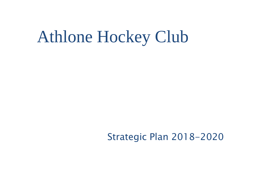# Athlone Hockey Club

## Strategic Plan 2018-2020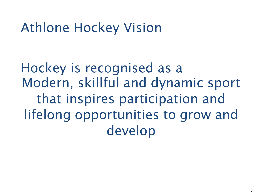## Athlone Hockey Vision

Hockey is recognised as a Modern, skillful and dynamic sport that inspires participation and lifelong opportunities to grow and develop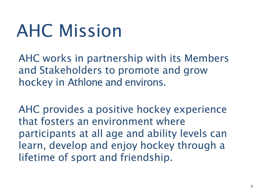# AHC Mission

AHC works in partnership with its Members and Stakeholders to promote and grow hockey in Athlone and environs.

AHC provides a positive hockey experience that fosters an environment where participants at all age and ability levels can learn, develop and enjoy hockey through a lifetime of sport and friendship.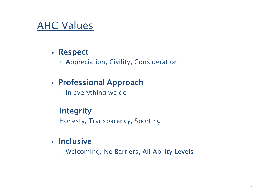## AHC Values

## ▶ Respect

◦ Appreciation, Civility, Consideration

## Professional Approach

◦ In everything we do

## **Integrity**

Honesty, Transparency, Sporting

## $\triangleright$  Inclusive

◦ Welcoming, No Barriers, All Ability Levels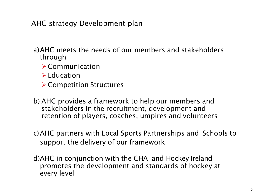AHC strategy Development plan

- a)AHC meets the needs of our members and stakeholders through
	- ➢ Communication
	- ➢ Education
	- ➢ Competition Structures
- b) AHC provides a framework to help our members and stakeholders in the recruitment, development and retention of players, coaches, umpires and volunteers
- c)AHC partners with Local Sports Partnerships and Schools to support the delivery of our framework
- d)AHC in conjunction with the CHA and Hockey Ireland promotes the development and standards of hockey at every level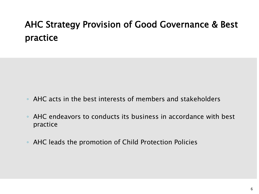## AHC Strategy Provision of Good Governance & Best practice

- AHC acts in the best interests of members and stakeholders
- AHC endeavors to conducts its business in accordance with best practice
- AHC leads the promotion of Child Protection Policies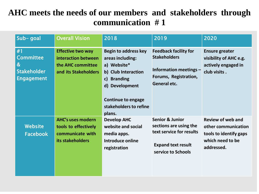## **AHC meets the needs of our members and stakeholders through communication # 1**

| Sub-goal                                                                                   | <b>Overall Vision</b>                                                                        | 2018                                                                                                                                                                                                        | 2019                                                                                                                                | 2020                                                                                                        |
|--------------------------------------------------------------------------------------------|----------------------------------------------------------------------------------------------|-------------------------------------------------------------------------------------------------------------------------------------------------------------------------------------------------------------|-------------------------------------------------------------------------------------------------------------------------------------|-------------------------------------------------------------------------------------------------------------|
| #1<br><b>Committee</b><br>$\boldsymbol{\alpha}$<br><b>Stakeholder</b><br><b>Engagement</b> | <b>Effective two way</b><br>interaction between<br>the AHC committee<br>and its Stakeholders | <b>Begin to address key</b><br>areas including:<br>a) Website*<br>b) Club Interaction<br><b>Branding</b><br>$\mathsf{c}$<br>d) Development<br><b>Continue to engage</b><br>stakeholders to refine<br>plans. | <b>Feedback facility for</b><br><b>Stakeholders</b><br>Information meetings -<br>Forums, Registration,<br><b>General etc.</b>       | <b>Ensure greater</b><br>visibility of AHC e.g.<br>actively engaged in<br>club visits.                      |
| <b>Website</b><br><b>Facebook</b>                                                          | <b>AHC's uses modern</b><br>tools to effectively<br>communicate with<br>its stakeholders     | <b>Develop AHC</b><br>website and social<br>media apps.<br>Introduce online<br>registration                                                                                                                 | <b>Senior &amp; Junior</b><br>sections are using the<br>text service for results<br><b>Expand text result</b><br>service to Schools | <b>Review of web and</b><br>other communication<br>tools to identify gaps<br>which need to be<br>addressed. |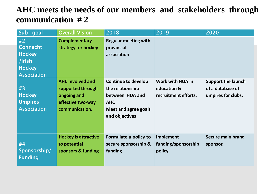## **AHC meets the needs of our members and stakeholders through communication # 2**

| Sub-goal                                                                                | <b>Overall Vision</b>                                                                              | 2018                                                                                                                             | 2019                                                    | 2020                                                                |
|-----------------------------------------------------------------------------------------|----------------------------------------------------------------------------------------------------|----------------------------------------------------------------------------------------------------------------------------------|---------------------------------------------------------|---------------------------------------------------------------------|
| #2<br><b>Connacht</b><br><b>Hockey</b><br>/Irish<br><b>Hockey</b><br><b>Association</b> | <b>Complementary</b><br>strategy for hockey                                                        | <b>Regular meeting with</b><br>provincial<br>association                                                                         |                                                         |                                                                     |
| #3<br><b>Hockey</b><br><b>Umpires</b><br><b>Association</b>                             | <b>AHC involved and</b><br>supported through<br>ongoing and<br>effective two-way<br>communication. | <b>Continue to develop</b><br>the relationship<br>between HUA and<br><b>AHC</b><br><b>Meet and agree goals</b><br>and objectives | Work with HUA in<br>education &<br>recruitment efforts. | <b>Support the launch</b><br>of a database of<br>umpires for clubs. |
| #4<br>Sponsorship/<br><b>Funding</b>                                                    | <b>Hockey is attractive</b><br>to potential<br>sponsors & funding                                  | Formulate a policy to<br>secure sponsorship &<br>funding                                                                         | Implement<br>funding/sponsorship<br>policy              | <b>Secure main brand</b><br>sponsor.                                |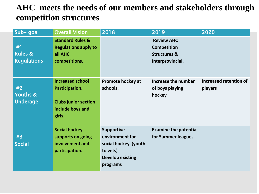## **AHC meets the needs of our members and stakeholders through competition structures**

| Sub-goal                                       | <b>Overall Vision</b>                                                                                  | 2018                                                                                                            | 2019                                                                                   | 2020                              |
|------------------------------------------------|--------------------------------------------------------------------------------------------------------|-----------------------------------------------------------------------------------------------------------------|----------------------------------------------------------------------------------------|-----------------------------------|
| #1<br><b>Rules &amp;</b><br><b>Regulations</b> | <b>Standard Rules &amp;</b><br><b>Regulations apply to</b><br>all AHC<br>competitions.                 |                                                                                                                 | <b>Review AHC</b><br><b>Competition</b><br><b>Structures &amp;</b><br>Interprovincial. |                                   |
| #2<br><b>Youths &amp;</b><br><b>Underage</b>   | <b>Increased school</b><br>Participation.<br><b>Clubs junior section</b><br>include boys and<br>girls. | <b>Promote hockey at</b><br>schools.                                                                            | Increase the number<br>of boys playing<br>hockey                                       | Increased retention of<br>players |
| #3<br><b>Social</b>                            | <b>Social hockey</b><br>supports on going<br>involvement and<br>participation.                         | <b>Supportive</b><br>environment for<br>social hockey (youth<br>to vets)<br><b>Develop existing</b><br>programs | <b>Examine the potential</b><br>for Summer leagues.                                    |                                   |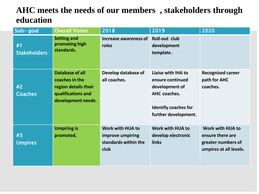## **AHC meets the needs of our members , stakeholders through education**

| Sub-goal                  | <b>Overall Vision</b>                                                                                        | 2018                                                                 | 2019                                                                                                                            | 2020                                                                                 |
|---------------------------|--------------------------------------------------------------------------------------------------------------|----------------------------------------------------------------------|---------------------------------------------------------------------------------------------------------------------------------|--------------------------------------------------------------------------------------|
| #1<br><b>Stakeholders</b> | <b>Setting and</b><br>promoting high<br>standards.                                                           | Increase awareness of<br>roles                                       | <b>Roll-out club</b><br>development<br>template.                                                                                |                                                                                      |
| #2<br><b>Coaches</b>      | <b>Database of all</b><br>coaches in the<br>region details their<br>qualifications and<br>development needs. | Develop database of<br>all coaches.                                  | Liaise with IHA to<br>ensure continued<br>development of<br>AHC coaches.<br><b>Identify coaches for</b><br>further development. | <b>Recognised career</b><br>path for AHC<br>coaches.                                 |
| #3<br><b>Umpires</b>      | <b>Umpiring is</b><br>promoted.                                                                              | Work with HUA to<br>improve umpiring<br>standards within the<br>club | Work with HUA to<br>develop electronic<br>links                                                                                 | Work with HUA to<br>ensure there are<br>greater numbers of<br>umpires at all levels. |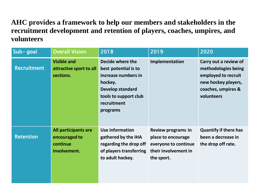#### **AHC provides a framework to help our members and stakeholders in the recruitment development and retention of players, coaches, umpires, and volunteers**

| Sub-goal           | <b>Overall Vision</b>                                             | 2018                                                                                                                                               | 2019                                                                                                          | 2020                                                                                                                           |
|--------------------|-------------------------------------------------------------------|----------------------------------------------------------------------------------------------------------------------------------------------------|---------------------------------------------------------------------------------------------------------------|--------------------------------------------------------------------------------------------------------------------------------|
| <b>Recruitment</b> | <b>Visible and</b><br>attractive sport to all<br>sections.        | Decide where the<br>best potential is to<br>increase numbers in<br>hockey.<br>Develop standard<br>tools to support club<br>recruitment<br>programs | Implementation                                                                                                | Carry out a review of<br>methodologies being<br>employed to recruit<br>new hockey players,<br>coaches, umpires &<br>volunteers |
| <b>Retention</b>   | All participants are<br>encouraged to<br>continue<br>involvement. | <b>Use information</b><br>gathered by the IHA<br>regarding the drop off<br>of players transferring<br>to adult hockey.                             | <b>Review programs in</b><br>place to encourage<br>everyone to continue<br>their involvement in<br>the sport. | <b>Quantify if there has</b><br>been a decrease in<br>the drop off rate.                                                       |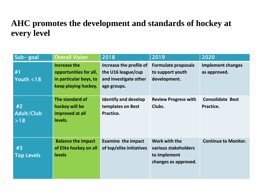#### **AHC promotes the development and standards of hockey at every level**

| Sub-goal                | <b>Overall Vision</b>                                                                           | 2018                                                                                  | 2019                                                                          | 2020                                     |
|-------------------------|-------------------------------------------------------------------------------------------------|---------------------------------------------------------------------------------------|-------------------------------------------------------------------------------|------------------------------------------|
| #1<br>Youth $<$ 18      | <b>Increase the</b><br>opportunities for all,<br>in particular boys, to<br>keep playing hockey. | Increase the profile of<br>the U16 league/cup<br>and investigate other<br>age groups. | <b>Formulate proposals</b><br>to support youth<br>development.                | <b>Implement changes</b><br>as approved. |
| #2<br>Adult/Club<br>>18 | The standard of<br>hockey will be<br>improved at all<br>levels.                                 | <b>Identify and develop</b><br>templates on Best<br>Practice.                         | <b>Review Progress with</b><br>Clubs.                                         | <b>Consolidate Best</b><br>Practice.     |
| #3<br><b>Top Levels</b> | <b>Balance the impact</b><br>of Elite hockey on all<br><b>levels</b>                            | <b>Examine the impact</b><br>of top/elite initiatives                                 | Work with the<br>various stakeholders<br>to implement<br>changes as approved. | <b>Continue to Monitor.</b>              |